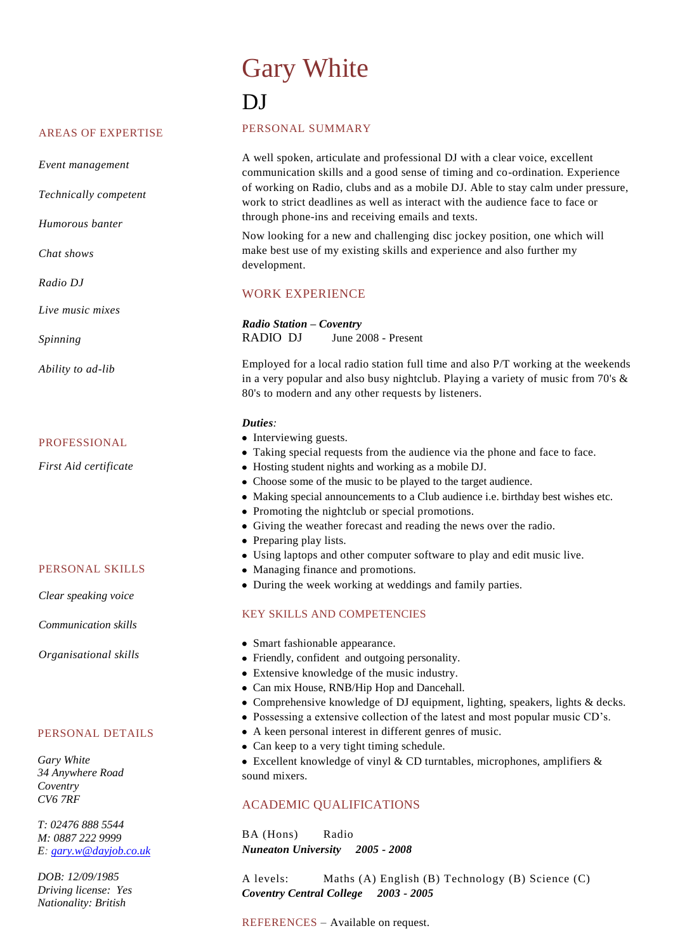# Gary White DJ

#### PERSONAL SUMMARY

A well spoken, articulate and professional DJ with a clear voice, excellent communication skills and a good sense of timing and co-ordination. Experience of working on Radio, clubs and as a mobile DJ. Able to stay calm under pressure, work to strict deadlines as well as interact with the audience face to face or through phone-ins and receiving emails and texts.

Now looking for a new and challenging disc jockey position, one which will make best use of my existing skills and experience and also further my development.

### WORK EXPERIENCE

*Radio Station – Coventry* RADIO DJ June 2008 - Present

Employed for a local radio station full time and also P/T working at the weekends in a very popular and also busy nightclub. Playing a variety of music from 70's  $\&$ 80's to modern and any other requests by listeners.

#### *Duties:*

- Interviewing guests.
- Taking special requests from the audience via the phone and face to face.
- Hosting student nights and working as a mobile DJ.
- Choose some of the music to be played to the target audience.
- Making special announcements to a Club audience i.e. birthday best wishes etc.
- Promoting the nightclub or special promotions.
- Giving the weather forecast and reading the news over the radio.
- Preparing play lists.
- Using laptops and other computer software to play and edit music live.
- Managing finance and promotions.
- During the week working at weddings and family parties.

#### KEY SKILLS AND COMPETENCIES

- Smart fashionable appearance.
- Friendly, confident and outgoing personality.
- Extensive knowledge of the music industry.
- Can mix House, RNB/Hip Hop and Dancehall.
- Comprehensive knowledge of DJ equipment, lighting, speakers, lights & decks.
- Possessing a extensive collection of the latest and most popular music CD's.
- A keen personal interest in different genres of music.
- Can keep to a very tight timing schedule.
- Excellent knowledge of vinyl  $&$  CD turntables, microphones, amplifiers  $&$ sound mixers.

# ACADEMIC QUALIFICATIONS

BA (Hons) Radio *Nuneaton University 2005 - 2008* 

A levels: Maths (A) English (B) Technology (B) Science (C) *Coventry Central College 2003 - 2005*

REFERENCES – Available on request.

#### AREAS OF EXPERTISE

*Event management*

*Technically competent*

*Humorous banter*

*Chat shows*

*Radio DJ*

*Live music mixes*

*Spinning*

*Ability to ad-lib* 

#### PROFESSIONAL

*First Aid certificate*

#### PERSONAL SKILLS

*Clear speaking voice*

*Communication skills*

*Organisational skills*

#### PERSONAL DETAILS

*Gary White 34 Anywhere Road Coventry CV6 7RF*

*T: 02476 888 5544 M: 0887 222 9999 E: [gary.w@dayjob.co.uk](mailto:gary.w@dayjob.co.uk)*

*DOB: 12/09/1985 Driving license: Yes Nationality: British*